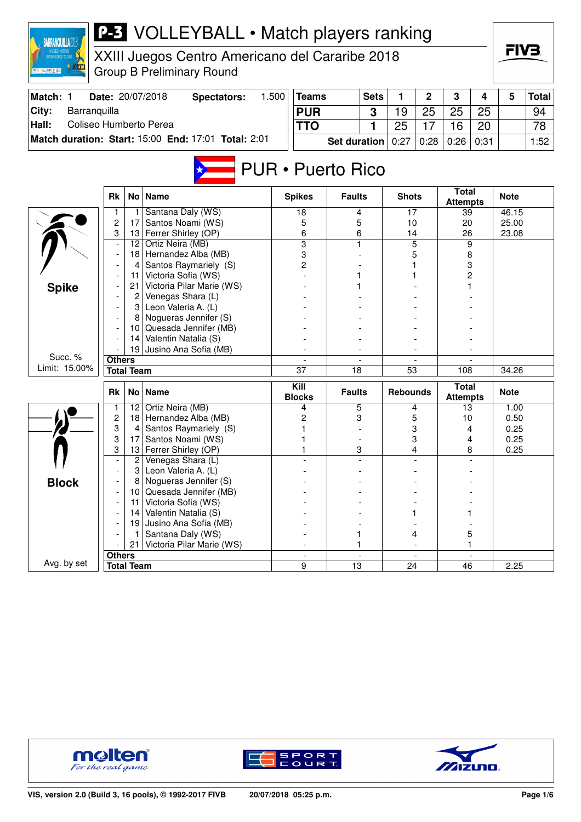| <b>P-3</b> VOLLEYBALL • Match players ranking<br><b>BARRANQUILLA2018</b> |                                                                        |                   |                                                     |       |                     |                     |             |                  |                |                                 |              |             |              |
|--------------------------------------------------------------------------|------------------------------------------------------------------------|-------------------|-----------------------------------------------------|-------|---------------------|---------------------|-------------|------------------|----------------|---------------------------------|--------------|-------------|--------------|
|                                                                          |                                                                        |                   | XXIII Juegos Centro Americano del Cararibe 2018     |       |                     |                     |             |                  |                |                                 |              | FIV3.       |              |
| ■ 福吉   藤   文献                                                            |                                                                        |                   | <b>Group B Preliminary Round</b>                    |       |                     |                     |             |                  |                |                                 |              |             |              |
|                                                                          |                                                                        |                   |                                                     |       |                     |                     |             |                  |                |                                 |              |             |              |
| Match: 1                                                                 |                                                                        |                   | Date: 20/07/2018<br><b>Spectators:</b>              | 1.500 | <b>Teams</b>        |                     | <b>Sets</b> | 1                | $\mathbf 2$    | 3                               | 4            | 5           | <b>Total</b> |
| City:<br>Barranquilla                                                    |                                                                        |                   |                                                     |       | <b>PUR</b>          |                     | 3           | 19               | 25             | 25                              | 25           |             | 94           |
| Hall:<br>Coliseo Humberto Perea                                          |                                                                        |                   |                                                     |       | <b>TTO</b>          |                     | 1           | 25               | 17             | 16                              | 20           |             | 78           |
|                                                                          |                                                                        |                   | Match duration: Start: 15:00 End: 17:01 Total: 2:01 |       |                     | <b>Set duration</b> |             | 0:27             | 0:28           | 0:26                            | 0:31         |             | 1:52         |
|                                                                          |                                                                        |                   |                                                     |       |                     |                     |             |                  |                |                                 |              |             |              |
| <b>PUR · Puerto Rico</b>                                                 |                                                                        |                   |                                                     |       |                     |                     |             |                  |                |                                 |              |             |              |
|                                                                          |                                                                        |                   |                                                     |       |                     |                     |             |                  |                |                                 |              |             |              |
|                                                                          | No <sub>1</sub><br><b>Name</b><br><b>Rk</b>                            |                   |                                                     |       | <b>Spikes</b>       | <b>Faults</b>       |             | <b>Shots</b>     |                | <b>Total</b><br><b>Attempts</b> |              | <b>Note</b> |              |
|                                                                          | 1                                                                      | 1                 | Santana Daly (WS)                                   |       | 18                  | 4                   |             | 17               |                | 39                              |              | 46.15       |              |
|                                                                          | $\overline{c}$<br>Santos Noami (WS)<br>17<br>Ferrer Shirley (OP)<br>13 |                   |                                                     | 5     | 5                   |                     | 10          |                  | 20             |                                 | 25.00        |             |              |
|                                                                          | 3                                                                      | 12                | Ortiz Neira (MB)                                    |       | 6<br>$\overline{3}$ | 6<br>1              |             | 14               | $\overline{5}$ | 26<br>9                         |              | 23.08       |              |
|                                                                          |                                                                        | 18                | Hernandez Alba (MB)                                 |       | 3                   |                     |             |                  | 5              | 8                               |              |             |              |
|                                                                          |                                                                        | 4                 | Santos Raymariely (S)                               |       | 2                   |                     |             |                  |                | 3                               |              |             |              |
|                                                                          |                                                                        | 11                | Victoria Sofia (WS)                                 |       |                     |                     |             |                  |                |                                 | 2            |             |              |
| <b>Spike</b>                                                             |                                                                        | 21                | Victoria Pilar Marie (WS)                           |       |                     |                     |             |                  |                |                                 |              |             |              |
|                                                                          |                                                                        | 2                 | Venegas Shara (L)                                   |       |                     |                     |             |                  |                |                                 |              |             |              |
|                                                                          | 3<br>Leon Valeria A. (L)                                               |                   |                                                     |       |                     |                     |             |                  |                |                                 |              |             |              |
|                                                                          |                                                                        | 8                 | Nogueras Jennifer (S)                               |       |                     |                     |             |                  |                |                                 |              |             |              |
|                                                                          |                                                                        | 10<br>14          | Quesada Jennifer (MB)<br>Valentin Natalia (S)       |       |                     |                     |             |                  |                |                                 |              |             |              |
|                                                                          |                                                                        | 19                | Jusino Ana Sofia (MB)                               |       |                     |                     |             |                  |                |                                 |              |             |              |
| Succ. %                                                                  | <b>Others</b>                                                          |                   |                                                     |       |                     |                     |             |                  |                |                                 |              |             |              |
| Limit: 15.00%                                                            |                                                                        | <b>Total Team</b> |                                                     |       | $\overline{37}$     | $\overline{18}$     |             | $\overline{53}$  |                | 108                             |              | 34.26       |              |
|                                                                          |                                                                        |                   |                                                     |       | Kill                |                     |             |                  |                | <b>Total</b>                    |              |             |              |
|                                                                          | Rk                                                                     | No <sub>1</sub>   | <b>Name</b>                                         |       | <b>Blocks</b>       | <b>Faults</b>       |             | <b>Rebounds</b>  |                | <b>Attempts</b>                 |              | <b>Note</b> |              |
|                                                                          | $\mathbf{1}$                                                           |                   | 12 Ortiz Neira (MB)                                 |       | 4                   | 5                   |             |                  | 4              | 13                              |              | 1.00        |              |
|                                                                          | $\overline{\mathbf{c}}$                                                |                   | 18 Hernandez Alba (MB)                              |       | 2                   | 3                   |             |                  | 5              | 10                              |              | 0.50        |              |
|                                                                          | 3<br>3                                                                 | 4<br>17           | Santos Raymariely (S)<br>Santos Noami (WS)          |       |                     |                     |             | 3<br>4<br>3<br>4 |                |                                 | 0.25<br>0.25 |             |              |
|                                                                          | 3                                                                      |                   | 13 Ferrer Shirley (OP)                              |       |                     | 3                   |             |                  | 4              |                                 | 8            | 0.25        |              |
|                                                                          |                                                                        | $\overline{2}$    | Venegas Shara (L)                                   |       |                     |                     |             |                  |                |                                 |              |             |              |
|                                                                          |                                                                        | 3                 | Leon Valeria A. (L)                                 |       |                     |                     |             |                  |                |                                 |              |             |              |
| <b>Block</b>                                                             |                                                                        |                   | Nogueras Jennifer (S)                               |       |                     |                     |             |                  |                |                                 |              |             |              |
|                                                                          |                                                                        | 10                | Quesada Jennifer (MB)                               |       |                     |                     |             |                  |                |                                 |              |             |              |
|                                                                          |                                                                        | 11                | Victoria Sofia (WS)                                 |       |                     |                     |             |                  |                |                                 |              |             |              |
|                                                                          |                                                                        | 14                | Valentin Natalia (S)                                |       |                     |                     |             |                  |                |                                 |              |             |              |
|                                                                          |                                                                        | 19                | Jusino Ana Sofia (MB)<br>Santana Daly (WS)          |       |                     |                     |             |                  |                |                                 |              |             |              |
|                                                                          |                                                                        | 21                | Victoria Pilar Marie (WS)                           |       |                     | 1<br>1              |             |                  | 4              |                                 | 5<br>1       |             |              |
|                                                                          |                                                                        |                   |                                                     |       |                     |                     |             |                  |                |                                 |              |             |              |
| Avg. by set                                                              | <b>Others</b><br><b>Total Team</b>                                     |                   |                                                     |       | 9                   | 13                  |             | 24               |                | 46                              |              | 2.25        |              |





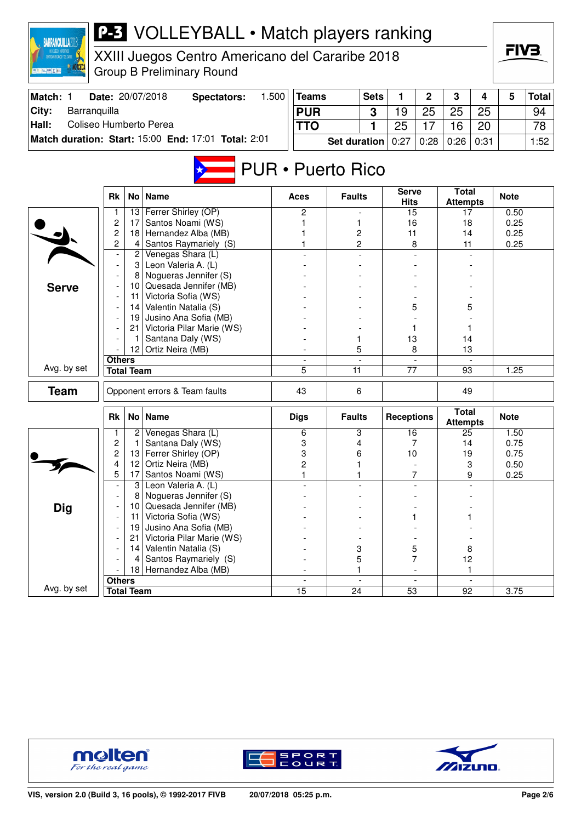| <b>P-3</b> VOLLEYBALL • Match players ranking<br><b>BARRANQUILLA2018</b><br>XXIII Juegos Centro Americano del Cararibe 2018<br><b>INTROANERICANOS Y DEL CARIBE</b> |                                    |                                                                |                                                     |       |                |                     |                                  |                   |                                 |                                 |              | FIV3.        |              |
|--------------------------------------------------------------------------------------------------------------------------------------------------------------------|------------------------------------|----------------------------------------------------------------|-----------------------------------------------------|-------|----------------|---------------------|----------------------------------|-------------------|---------------------------------|---------------------------------|--------------|--------------|--------------|
| <b>夏 福 三 藤 区 西</b>                                                                                                                                                 |                                    |                                                                | <b>Group B Preliminary Round</b>                    |       |                |                     |                                  |                   |                                 |                                 |              |              |              |
| Match: 1                                                                                                                                                           |                                    |                                                                | Date: 20/07/2018<br><b>Spectators:</b>              | 1.500 | <b>Teams</b>   |                     | <b>Sets</b>                      | 1                 | $\mathbf 2$                     | 3                               | 4            | 5            | <b>Total</b> |
| City:<br>Barranquilla                                                                                                                                              |                                    |                                                                |                                                     |       | <b>PUR</b>     |                     | 3                                | 19                | 25                              | 25                              | 25           |              | 94           |
| Coliseo Humberto Perea<br>Hall:                                                                                                                                    |                                    |                                                                |                                                     |       | <b>TTO</b>     |                     | 1                                | 25                | 17                              | 16                              | 20           |              | 78           |
|                                                                                                                                                                    |                                    |                                                                | Match duration: Start: 15:00 End: 17:01 Total: 2:01 |       |                | <b>Set duration</b> |                                  | 0:27              | 0:28                            | 0:26                            | 0:31         |              | 1:52         |
| <b>PUR · Puerto Rico</b>                                                                                                                                           |                                    |                                                                |                                                     |       |                |                     |                                  |                   |                                 |                                 |              |              |              |
|                                                                                                                                                                    |                                    | No   Name                                                      |                                                     | Aces  | <b>Faults</b>  |                     | <b>Serve</b><br><b>Hits</b>      |                   | <b>Total</b><br><b>Attempts</b> |                                 | <b>Note</b>  |              |              |
|                                                                                                                                                                    | 1                                  | 13                                                             | Ferrer Shirley (OP)                                 |       | 2              |                     |                                  | 15                |                                 | 17                              |              | 0.50         |              |
|                                                                                                                                                                    | 2                                  | 17                                                             | Santos Noami (WS)                                   |       |                | 1                   |                                  | 16                |                                 | 18                              |              | 0.25         |              |
|                                                                                                                                                                    | $\overline{c}$<br>2                | 18<br>4                                                        | Hernandez Alba (MB)<br>Santos Raymariely (S)        |       |                | 2<br>2              |                                  | 11                | 8                               | 14<br>11                        |              | 0.25<br>0.25 |              |
|                                                                                                                                                                    | $\overline{a}$                     |                                                                | 2 Venegas Shara (L)                                 |       |                |                     |                                  |                   |                                 |                                 |              |              |              |
|                                                                                                                                                                    |                                    |                                                                | 3 Leon Valeria A. (L)                               |       |                |                     |                                  |                   |                                 |                                 |              |              |              |
|                                                                                                                                                                    |                                    | 8                                                              | Nogueras Jennifer (S)                               |       |                |                     |                                  |                   |                                 |                                 |              |              |              |
| <b>Serve</b>                                                                                                                                                       |                                    | 10                                                             | Quesada Jennifer (MB)                               |       |                |                     |                                  |                   |                                 |                                 |              |              |              |
|                                                                                                                                                                    |                                    | 11                                                             | Victoria Sofia (WS)                                 |       |                |                     |                                  |                   |                                 |                                 |              |              |              |
|                                                                                                                                                                    |                                    |                                                                | 14 Valentin Natalia (S)                             |       |                |                     |                                  |                   | 5                               | 5                               |              |              |              |
|                                                                                                                                                                    |                                    | Jusino Ana Sofia (MB)<br>19<br>Victoria Pilar Marie (WS)<br>21 |                                                     |       |                |                     |                                  |                   | 1                               | 1                               |              |              |              |
|                                                                                                                                                                    |                                    | 1                                                              | Santana Daly (WS)                                   |       |                | 1                   |                                  | 13                |                                 | 14                              |              |              |              |
|                                                                                                                                                                    |                                    | 12 <sub>2</sub>                                                | Ortiz Neira (MB)                                    |       | 5              |                     |                                  | 8                 |                                 | 13                              |              |              |              |
|                                                                                                                                                                    | <b>Others</b>                      |                                                                |                                                     |       | $\overline{a}$ |                     |                                  |                   |                                 |                                 |              |              |              |
| Avg. by set                                                                                                                                                        |                                    | <b>Total Team</b>                                              |                                                     |       | 5<br>11        |                     |                                  | $\overline{77}$   |                                 | 93                              |              | 1.25         |              |
| <b>Team</b>                                                                                                                                                        |                                    |                                                                | Opponent errors & Team faults                       |       | 43             | 6                   |                                  |                   |                                 | 49                              |              |              |              |
|                                                                                                                                                                    | <b>Rk</b>                          |                                                                | No Name                                             |       | <b>Digs</b>    | <b>Faults</b>       |                                  | <b>Receptions</b> |                                 | <b>Total</b><br><b>Attempts</b> |              | <b>Note</b>  |              |
|                                                                                                                                                                    | 1                                  | 2                                                              | Venegas Shara (L)                                   |       | 6              | 3                   |                                  | 16                |                                 | 25                              |              | 1.50         |              |
|                                                                                                                                                                    | 2<br>2                             | 1                                                              | Santana Daly (WS)<br>13 Ferrer Shirley (OP)         |       | 3<br>3         | 4<br>6              |                                  | 10                | 7                               | 14                              |              | 0.75         |              |
|                                                                                                                                                                    | 4                                  | 12                                                             | Ortiz Neira (MB)                                    |       | 2              | 1                   |                                  |                   |                                 | 19<br>$\ensuremath{\mathsf{3}}$ |              | 0.75<br>0.50 |              |
|                                                                                                                                                                    | 5                                  | 17                                                             | Santos Noami (WS)                                   |       | 1              | 1                   |                                  |                   | 7                               | 9                               |              | 0.25         |              |
|                                                                                                                                                                    |                                    | 3                                                              | Leon Valeria A. (L)                                 |       |                |                     | $\overline{a}$                   |                   |                                 |                                 |              |              |              |
|                                                                                                                                                                    |                                    | 8                                                              | Nogueras Jennifer (S)                               |       |                |                     |                                  |                   |                                 |                                 |              |              |              |
| <b>Dig</b>                                                                                                                                                         |                                    | 10                                                             | Quesada Jennifer (MB)                               |       |                |                     |                                  |                   |                                 |                                 |              |              |              |
|                                                                                                                                                                    |                                    | 11                                                             | Victoria Sofia (WS)                                 |       |                |                     |                                  |                   |                                 | 1                               |              |              |              |
|                                                                                                                                                                    |                                    | 19                                                             | Jusino Ana Sofia (MB)                               |       |                |                     |                                  |                   |                                 |                                 |              |              |              |
|                                                                                                                                                                    |                                    | 21<br>14                                                       | Victoria Pilar Marie (WS)<br>Valentin Natalia (S)   |       |                | 3                   |                                  |                   | 5                               | 8                               |              |              |              |
|                                                                                                                                                                    |                                    | 4                                                              | Santos Raymariely (S)                               |       |                | 5                   |                                  |                   | $\overline{7}$                  | 12                              |              |              |              |
|                                                                                                                                                                    |                                    | 18                                                             | Hernandez Alba (MB)                                 |       |                | 1                   |                                  |                   |                                 | 1                               |              |              |              |
|                                                                                                                                                                    |                                    |                                                                |                                                     |       | $\blacksquare$ |                     | $\overline{a}$<br>$\blacksquare$ |                   |                                 |                                 | $\mathbf{r}$ |              |              |
| Avg. by set                                                                                                                                                        | <b>Others</b><br><b>Total Team</b> |                                                                |                                                     |       |                | $\overline{24}$     |                                  | $\overline{53}$   |                                 | $\overline{92}$                 |              | 3.75         |              |





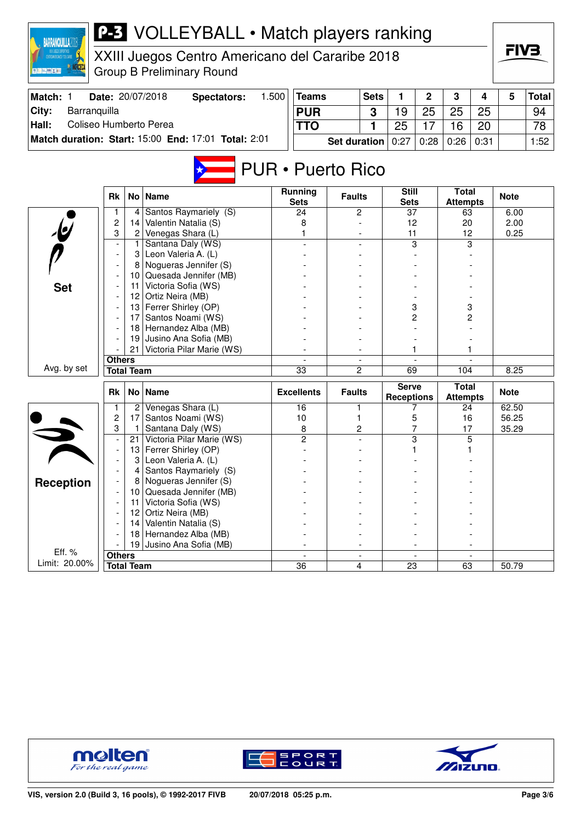| CENTROMERICANOS Y DEL CARRE<br>XXIII Juegos Centro Americano del Cararibe 2018<br><b>夏陽仁(開業)</b><br><b>Group B Preliminary Round</b> |                         |                   |                                                     |       |                                                    |                          |             |                                                      |             |                                 |             | ГIVЗ.       |              |
|--------------------------------------------------------------------------------------------------------------------------------------|-------------------------|-------------------|-----------------------------------------------------|-------|----------------------------------------------------|--------------------------|-------------|------------------------------------------------------|-------------|---------------------------------|-------------|-------------|--------------|
| Match: 1                                                                                                                             |                         |                   | Date: 20/07/2018<br><b>Spectators:</b>              | 1.500 | <b>Teams</b>                                       |                          | <b>Sets</b> | 1                                                    | $\mathbf 2$ | 3                               | 4           | 5           | <b>Total</b> |
| City:<br>Barranquilla                                                                                                                |                         |                   |                                                     |       | <b>PUR</b>                                         |                          | 3           | 19                                                   | 25          | 25                              | 25          |             | 94           |
| Coliseo Humberto Perea<br>Hall:                                                                                                      |                         |                   |                                                     |       | <b>TTO</b>                                         |                          | 1           | 25                                                   | 17          | 16                              | 20          |             | 78           |
|                                                                                                                                      |                         |                   | Match duration: Start: 15:00 End: 17:01 Total: 2:01 |       |                                                    | <b>Set duration</b>      |             | 0:27                                                 | 0:28        | 0:26                            | 0:31        |             | 1:52         |
|                                                                                                                                      | Rk                      |                   | No   Name                                           |       | <b>PUR • Puerto Rico</b><br>Running<br><b>Sets</b> | <b>Faults</b>            |             | <b>Still</b><br><b>Sets</b>                          |             | <b>Total</b><br><b>Attempts</b> |             | <b>Note</b> |              |
|                                                                                                                                      | 1                       | 4                 | Santos Raymariely (S)                               |       | 24                                                 | 2                        |             | $\overline{37}$                                      |             | 63                              |             | 6.00        |              |
|                                                                                                                                      | $\overline{c}$          | 14                | Valentin Natalia (S)                                |       | 8                                                  |                          |             | 12                                                   |             | 20                              |             | 2.00        |              |
|                                                                                                                                      | 3                       | $\overline{2}$    | Venegas Shara (L)                                   |       | 1                                                  |                          |             | 11                                                   |             | 12                              |             | 0.25        |              |
|                                                                                                                                      | $\overline{a}$          | 1                 | Santana Daly (WS)                                   |       |                                                    |                          |             |                                                      | 3           | 3                               |             |             |              |
|                                                                                                                                      |                         | 3                 | Leon Valeria A. (L)                                 |       |                                                    |                          |             |                                                      |             |                                 |             |             |              |
|                                                                                                                                      |                         | 8                 | Nogueras Jennifer (S)                               |       |                                                    |                          |             |                                                      |             |                                 |             |             |              |
|                                                                                                                                      |                         | 10                | Quesada Jennifer (MB)                               |       |                                                    |                          |             |                                                      |             |                                 |             |             |              |
| <b>Set</b>                                                                                                                           |                         | 11                | Victoria Sofia (WS)                                 |       |                                                    |                          |             |                                                      |             |                                 |             |             |              |
|                                                                                                                                      |                         | 12                | Ortiz Neira (MB)<br>Ferrer Shirley (OP)             |       |                                                    |                          |             |                                                      |             |                                 |             |             |              |
|                                                                                                                                      |                         | 13<br>17          | Santos Noami (WS)                                   |       |                                                    |                          |             | 3<br>2                                               |             | 3<br>2                          |             |             |              |
|                                                                                                                                      |                         | 181               | Hernandez Alba (MB)                                 |       |                                                    |                          |             |                                                      |             |                                 |             |             |              |
|                                                                                                                                      |                         | 19                | Jusino Ana Sofia (MB)                               |       |                                                    |                          |             |                                                      |             |                                 |             |             |              |
|                                                                                                                                      |                         | 21                | Victoria Pilar Marie (WS)                           |       |                                                    |                          |             |                                                      |             | 1                               |             |             |              |
|                                                                                                                                      | <b>Others</b>           |                   |                                                     |       |                                                    |                          |             |                                                      |             |                                 |             |             |              |
| Avg. by set                                                                                                                          |                         | <b>Total Team</b> |                                                     |       | 33                                                 | 2                        |             | 69                                                   |             | 104                             |             | 8.25        |              |
|                                                                                                                                      | <b>Rk</b>               |                   | No   Name                                           |       | <b>Excellents</b>                                  | <b>Faults</b>            |             | <b>Serve</b><br><b>Receptions</b>                    |             | <b>Total</b><br><b>Attempts</b> |             | <b>Note</b> |              |
|                                                                                                                                      | 1                       | 2                 | Venegas Shara (L)                                   |       | 16                                                 | 1                        |             |                                                      | 7           | 24                              |             | 62.50       |              |
|                                                                                                                                      | $\overline{\mathbf{c}}$ | 17                | Santos Noami (WS)                                   |       | 10                                                 | 1                        |             | 5                                                    |             | 16                              |             | 56.25       |              |
|                                                                                                                                      | 3                       | 1.                | Santana Daly (WS)                                   |       | 8                                                  | 2                        |             |                                                      | 7           | 17                              |             | 35.29       |              |
|                                                                                                                                      |                         | 21                | Victoria Pilar Marie (WS)                           |       | 2                                                  |                          |             |                                                      | 3           | 5                               |             |             |              |
|                                                                                                                                      |                         | 13<br>3           | Ferrer Shirley (OP)<br>Leon Valeria A. (L)          |       |                                                    |                          |             |                                                      |             |                                 |             |             |              |
|                                                                                                                                      |                         | 4                 | Santos Raymariely (S)                               |       |                                                    |                          |             |                                                      |             |                                 |             |             |              |
|                                                                                                                                      |                         |                   | 8 Nogueras Jennifer (S)                             |       |                                                    |                          |             |                                                      |             |                                 |             |             |              |
| Reception                                                                                                                            |                         | 10                | Quesada Jennifer (MB)                               |       |                                                    |                          |             |                                                      |             |                                 |             |             |              |
|                                                                                                                                      |                         | 11                | Victoria Sofia (WS)                                 |       |                                                    |                          |             |                                                      |             |                                 |             |             |              |
|                                                                                                                                      |                         | 12                | Ortiz Neira (MB)                                    |       |                                                    |                          |             |                                                      |             |                                 |             |             |              |
|                                                                                                                                      |                         | 14                | Valentin Natalia (S)                                |       |                                                    |                          |             |                                                      |             |                                 |             |             |              |
|                                                                                                                                      |                         | 18                | Hernandez Alba (MB)                                 |       |                                                    |                          |             |                                                      |             |                                 |             |             |              |
|                                                                                                                                      |                         | 19                | Jusino Ana Sofia (MB)                               |       |                                                    |                          |             |                                                      |             |                                 |             |             |              |
| Eff. %                                                                                                                               | <b>Others</b>           |                   |                                                     |       | $\overline{\phantom{a}}$                           | $\overline{\phantom{a}}$ |             | $\overline{\phantom{a}}$<br>$\overline{\phantom{a}}$ |             |                                 |             |             |              |
| Limit: 20.00%                                                                                                                        |                         | <b>Total Team</b> |                                                     |       | 36                                                 |                          | 4           | 23                                                   |             |                                 | 50.79<br>63 |             |              |



**BARRANQUILLA2018** 



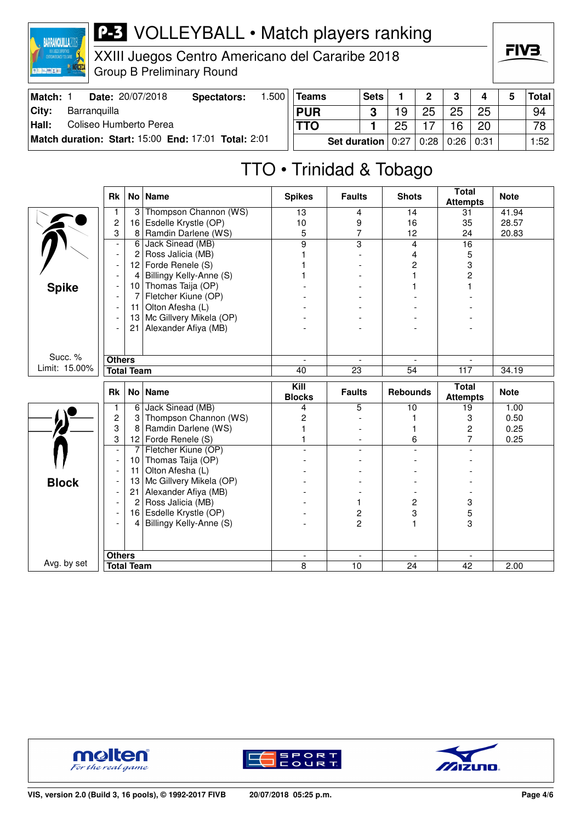

XXIII Juegos Centro Americano del Cararibe 2018 Group B Preliminary Round

| FIV | = |
|-----|---|
|     |   |

| Match: | <b>Date: 20/07/2018</b>                             | Spectators: | .500 | Teams        | <b>Sets</b> |      | ∩    | ◠<br>ື |      | Total |
|--------|-----------------------------------------------------|-------------|------|--------------|-------------|------|------|--------|------|-------|
| City:  | Barranguilla                                        |             |      | <b>PUR</b>   | ≏           | 19   | 25   | 25     | 25   | 94    |
| Hall:  | Coliseo Humberto Perea                              |             |      | <b>TTO</b>   |             | 25   |      | 16     | 20   | 78    |
|        | Match duration: Start: 15:00 End: 17:01 Total: 2:01 |             |      | Set duration | 10:27       | 0:28 | 0:26 | 0:31   | 1:52 |       |

### TTO • Trinidad & Tobago

|               | <b>Rk</b>                          |                | No   Name                | <b>Spikes</b>                 | <b>Faults</b>            | <b>Shots</b>            | <b>Total</b><br><b>Attempts</b> | <b>Note</b> |
|---------------|------------------------------------|----------------|--------------------------|-------------------------------|--------------------------|-------------------------|---------------------------------|-------------|
|               | 1                                  | 3              | Thompson Channon (WS)    | $\overline{13}$               | 4                        | 14                      | 31                              | 41.94       |
|               | $\overline{c}$                     | 16             | Esdelle Krystle (OP)     | 10                            | 9                        | 16                      | 35                              | 28.57       |
|               | 3                                  | 8              | Ramdin Darlene (WS)      | 5                             | $\overline{7}$           | 12                      | 24                              | 20.83       |
|               | $\overline{\phantom{a}}$           | 6              | Jack Sinead (MB)         | 9                             | $\overline{3}$           | 4                       | 16                              |             |
|               | $\overline{\phantom{a}}$           | 2              | Ross Jalicia (MB)        |                               |                          | $\overline{4}$          | 5                               |             |
|               |                                    | 12             | Forde Renele (S)         |                               |                          | $\overline{c}$          | 3                               |             |
|               |                                    | 4              | Billingy Kelly-Anne (S)  |                               |                          |                         | $\overline{2}$                  |             |
| <b>Spike</b>  |                                    | 10             | Thomas Taija (OP)        |                               |                          |                         |                                 |             |
|               |                                    | 7              | Fletcher Kiune (OP)      |                               |                          |                         |                                 |             |
|               | $\overline{\phantom{a}}$           | 11             | Olton Afesha (L)         |                               |                          |                         |                                 |             |
|               |                                    | 13             | Mc Gillvery Mikela (OP)  |                               |                          |                         |                                 |             |
|               |                                    | 21             | Alexander Afiya (MB)     |                               |                          |                         |                                 |             |
|               |                                    |                |                          |                               |                          |                         |                                 |             |
|               |                                    |                |                          |                               |                          |                         |                                 |             |
| Succ. %       | <b>Others</b><br><b>Total Team</b> |                | $\overline{\phantom{a}}$ | $\overline{\phantom{a}}$      | $\overline{\phantom{a}}$ |                         |                                 |             |
| Limit: 15.00% |                                    |                |                          | 40                            | $\overline{23}$          | $\overline{54}$         | 117                             | 34.19       |
|               |                                    |                |                          |                               |                          |                         |                                 |             |
|               | <b>Rk</b>                          |                | No   Name                | Kill                          | <b>Faults</b>            | <b>Rebounds</b>         | <b>Total</b>                    | <b>Note</b> |
|               | 1                                  | 6              | Jack Sinead (MB)         | <b>Blocks</b><br>4            | 5                        | 10                      | <b>Attempts</b><br>19           | 1.00        |
|               | $\overline{c}$                     | 3              | Thompson Channon (WS)    | $\overline{c}$                |                          |                         | 3                               | 0.50        |
|               | 3                                  | 8              | Ramdin Darlene (WS)      |                               |                          |                         | $\overline{c}$                  | 0.25        |
|               | 3                                  |                | 12 Forde Renele $(S)$    |                               | $\overline{\phantom{0}}$ | 6                       | 7                               | 0.25        |
|               | $\overline{\phantom{a}}$           | 7              | Fletcher Kiune (OP)      |                               |                          | $\overline{a}$          |                                 |             |
|               | $\overline{\phantom{a}}$           | 10             | Thomas Taija (OP)        |                               |                          |                         |                                 |             |
|               |                                    | 11             | Olton Afesha (L)         |                               |                          |                         |                                 |             |
|               |                                    | 13             | Mc Gillvery Mikela (OP)  |                               |                          |                         |                                 |             |
| <b>Block</b>  | $\overline{\phantom{a}}$           | 21             | Alexander Afiya (MB)     |                               |                          |                         |                                 |             |
|               |                                    | $\overline{2}$ | Ross Jalicia (MB)        |                               | 1                        | $\overline{\mathbf{c}}$ | 3                               |             |
|               |                                    | 16             | Esdelle Krystle (OP)     |                               | 2                        | 3                       | 5                               |             |
|               |                                    | $\overline{4}$ | Billingy Kelly-Anne (S)  |                               | $\overline{c}$           |                         | 3                               |             |
|               |                                    |                |                          |                               |                          |                         |                                 |             |
|               |                                    |                |                          |                               |                          |                         |                                 |             |
| Avg. by set   | <b>Others</b><br><b>Total Team</b> |                |                          | $\overline{\phantom{a}}$<br>8 | $\blacksquare$<br>10     | 24                      | 42                              | 2.00        |





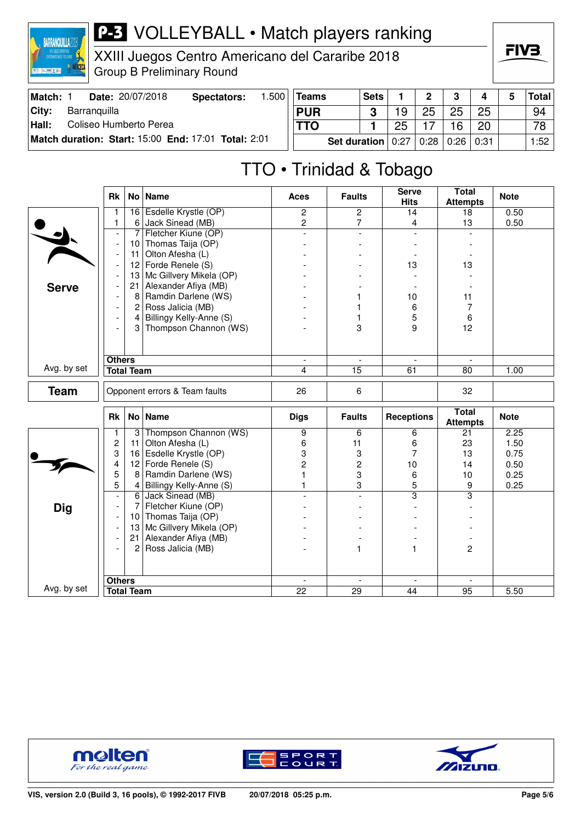

XXIII Juegos Centro Americano del Cararibe 2018 Group B Preliminary Round



| Match:        | Date: 20/07/2018                                    | Spectators: | .500 <sub>1</sub> | Teams        | <b>Sets</b> |      | n    |      |      | Total |
|---------------|-----------------------------------------------------|-------------|-------------------|--------------|-------------|------|------|------|------|-------|
| City:         | Barranguilla                                        |             |                   | <b>PUR</b>   |             | 19   | 25   | 25   | 25   | 94    |
| $\vert$ Hall: | Coliseo Humberto Perea                              |             |                   |              | 25          |      | 6    | 20   | 78   |       |
|               | Match duration: Start: 15:00 End: 17:01 Total: 2:01 |             |                   | Set duration | 0:27        | 0:28 | 0:26 | 0:31 | 1:52 |       |

# TTO • Trinidad & Tobago

|              | Rk                            |                   | No   Name               | <b>Aces</b>              | <b>Faults</b>   | <b>Serve</b><br><b>Hits</b> | <b>Total</b><br><b>Attempts</b> | <b>Note</b> |
|--------------|-------------------------------|-------------------|-------------------------|--------------------------|-----------------|-----------------------------|---------------------------------|-------------|
|              | $\mathbf{1}$                  |                   | 16 Esdelle Krystle (OP) | 2                        | $\overline{2}$  | 14                          | 18                              | 0.50        |
|              | 1                             | 6                 | Jack Sinead (MB)        | $\overline{c}$           | 7               | 4                           | 13                              | 0.50        |
|              | $\overline{\phantom{a}}$      | 7                 | Fletcher Kiune (OP)     | $\overline{a}$           | $\overline{a}$  | $\overline{a}$              | $\mathbf{r}$                    |             |
|              | $\overline{\phantom{a}}$      | 10                | Thomas Taija (OP)       |                          |                 |                             |                                 |             |
|              | $\overline{\phantom{a}}$      | 11                | Olton Afesha (L)        |                          |                 |                             |                                 |             |
|              | $\overline{\phantom{a}}$      | 12                | Forde Renele (S)        |                          |                 | 13                          | 13                              |             |
|              |                               | 13                | Mc Gillvery Mikela (OP) |                          |                 |                             |                                 |             |
| <b>Serve</b> |                               | 21                | Alexander Afiya (MB)    |                          |                 |                             |                                 |             |
|              |                               | 8                 | Ramdin Darlene (WS)     |                          |                 | 10                          | 11                              |             |
|              | $\overline{\phantom{a}}$      | $\overline{c}$    | Ross Jalicia (MB)       |                          |                 | 6                           | 7                               |             |
|              |                               | $\vert$           | Billingy Kelly-Anne (S) |                          |                 | 5                           | 6                               |             |
|              | $\overline{\phantom{a}}$      | $\mathbf{3}$      | Thompson Channon (WS)   |                          | 3               | 9                           | 12                              |             |
|              |                               |                   |                         |                          |                 |                             |                                 |             |
|              | <b>Others</b>                 |                   |                         | $\overline{\phantom{a}}$ |                 |                             |                                 |             |
| Avg. by set  | <b>Total Team</b>             |                   | 4                       | 15                       | 61              | 80                          | 1.00                            |             |
|              |                               |                   |                         |                          |                 |                             |                                 |             |
| <b>Team</b>  | Opponent errors & Team faults |                   |                         | 26                       | 6               |                             | 32                              |             |
|              | Rk                            |                   | $No$ Name               | <b>Digs</b>              | <b>Faults</b>   | <b>Receptions</b>           | <b>Total</b>                    | <b>Note</b> |
|              |                               |                   |                         |                          |                 |                             | <b>Attempts</b>                 |             |
|              | 1                             | 3                 | Thompson Channon (WS)   | $\overline{9}$           | 6               | 6                           | 21                              | 2.25        |
|              | $\overline{c}$                | 11                | Olton Afesha (L)        | 6                        | 11              | 6                           | 23                              | 1.50        |
|              | 3                             | 16                | Esdelle Krystle (OP)    | 3                        | 3               | 7                           | 13                              | 0.75        |
|              | 4                             | 12                | Forde Renele (S)        | $\overline{c}$           | $\overline{c}$  | 10                          | 14                              | 0.50        |
|              | 5                             | 8                 | Ramdin Darlene (WS)     | 1                        | 3               | 6                           | 10                              | 0.25        |
|              | 5                             | $\vert$           | Billingy Kelly-Anne (S) | 1                        | 3               | 5                           | 9                               | 0.25        |
|              | $\overline{\phantom{a}}$      |                   | 6 Jack Sinead (MB)      |                          | $\overline{a}$  | 3                           | $\overline{\mathbf{3}}$         |             |
| <b>Dig</b>   | $\overline{\phantom{a}}$      | $\overline{7}$    | Fletcher Kiune (OP)     |                          |                 |                             |                                 |             |
|              | $\overline{\phantom{a}}$      |                   | 10 Thomas Taija (OP)    |                          |                 |                             |                                 |             |
|              | $\overline{\phantom{a}}$      | 13                | Mc Gillvery Mikela (OP) |                          |                 |                             |                                 |             |
|              |                               | 21                | Alexander Afiya (MB)    |                          |                 |                             |                                 |             |
|              | $\overline{a}$                | $\mathbf{2}$      | Ross Jalicia (MB)       |                          | 1               |                             | $\overline{2}$                  |             |
|              |                               |                   |                         |                          |                 |                             |                                 |             |
|              | <b>Others</b>                 |                   |                         |                          |                 |                             |                                 |             |
| Avg. by set  |                               | <b>Total Team</b> |                         | $\overline{22}$          | $\overline{29}$ | $\overline{44}$             | $\overline{95}$                 | 5.50        |